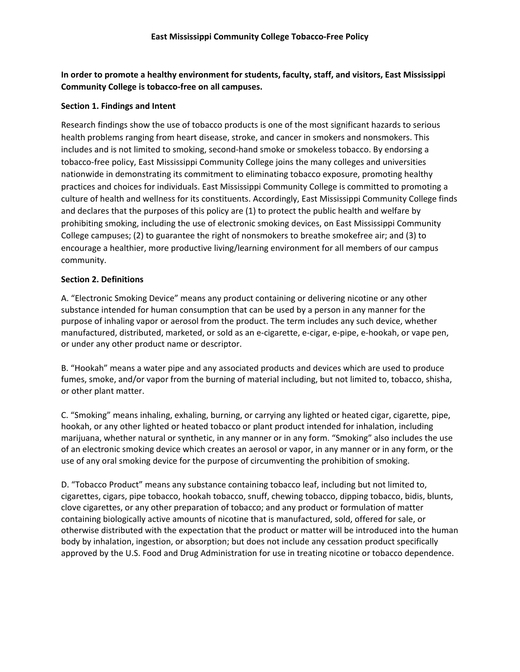**In order to promote a healthy environment for students, faculty, staff, and visitors, East Mississippi Community College is tobacco-free on all campuses.** 

## **Section 1. Findings and Intent**

Research findings show the use of tobacco products is one of the most significant hazards to serious health problems ranging from heart disease, stroke, and cancer in smokers and nonsmokers. This includes and is not limited to smoking, second-hand smoke or smokeless tobacco. By endorsing a tobacco-free policy, East Mississippi Community College joins the many colleges and universities nationwide in demonstrating its commitment to eliminating tobacco exposure, promoting healthy practices and choices for individuals. East Mississippi Community College is committed to promoting a culture of health and wellness for its constituents. Accordingly, East Mississippi Community College finds and declares that the purposes of this policy are (1) to protect the public health and welfare by prohibiting smoking, including the use of electronic smoking devices, on East Mississippi Community College campuses; (2) to guarantee the right of nonsmokers to breathe smokefree air; and (3) to encourage a healthier, more productive living/learning environment for all members of our campus community.

# **Section 2. Definitions**

A. "Electronic Smoking Device" means any product containing or delivering nicotine or any other substance intended for human consumption that can be used by a person in any manner for the purpose of inhaling vapor or aerosol from the product. The term includes any such device, whether manufactured, distributed, marketed, or sold as an e-cigarette, e-cigar, e-pipe, e-hookah, or vape pen, or under any other product name or descriptor.

B. "Hookah" means a water pipe and any associated products and devices which are used to produce fumes, smoke, and/or vapor from the burning of material including, but not limited to, tobacco, shisha, or other plant matter.

C. "Smoking" means inhaling, exhaling, burning, or carrying any lighted or heated cigar, cigarette, pipe, hookah, or any other lighted or heated tobacco or plant product intended for inhalation, including marijuana, whether natural or synthetic, in any manner or in any form. "Smoking" also includes the use of an electronic smoking device which creates an aerosol or vapor, in any manner or in any form, or the use of any oral smoking device for the purpose of circumventing the prohibition of smoking.

D. "Tobacco Product" means any substance containing tobacco leaf, including but not limited to, cigarettes, cigars, pipe tobacco, hookah tobacco, snuff, chewing tobacco, dipping tobacco, bidis, blunts, clove cigarettes, or any other preparation of tobacco; and any product or formulation of matter containing biologically active amounts of nicotine that is manufactured, sold, offered for sale, or otherwise distributed with the expectation that the product or matter will be introduced into the human body by inhalation, ingestion, or absorption; but does not include any cessation product specifically approved by the U.S. Food and Drug Administration for use in treating nicotine or tobacco dependence.